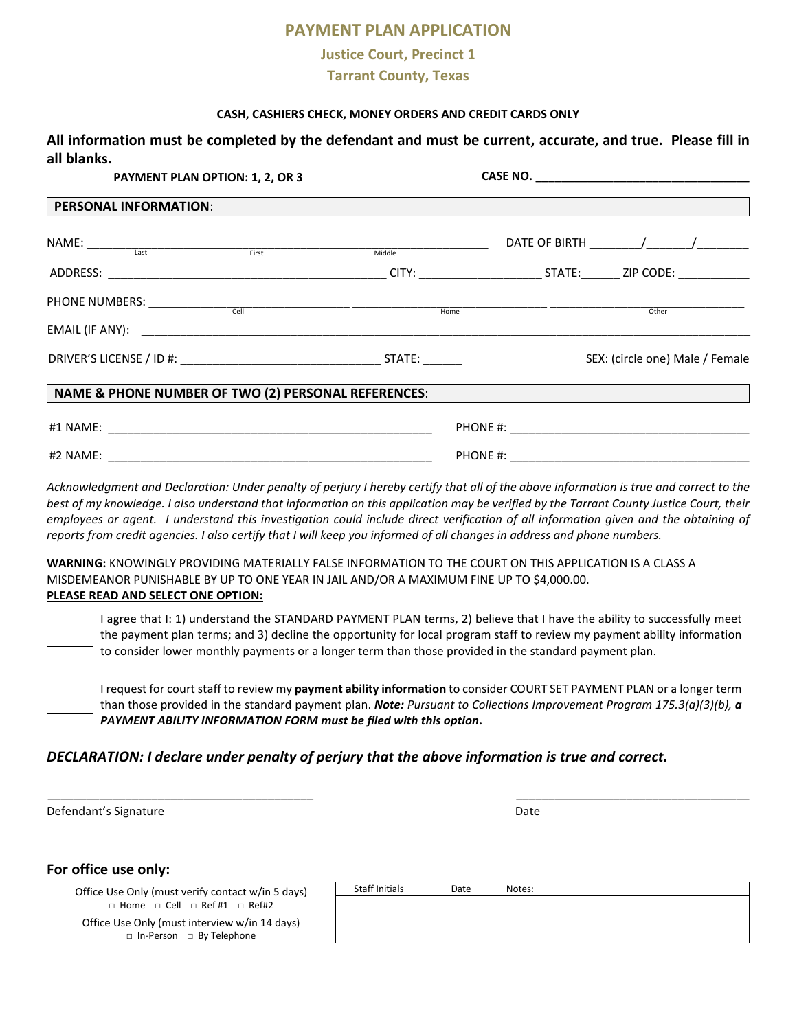# **PAYMENT PLAN APPLICATION**

### **Justice Court, Precinct 1**

### **Tarrant County, Texas**

#### **CASH, CASHIERS CHECK, MONEY ORDERS AND CREDIT CARDS ONLY**

**All information must be completed by the defendant and must be current, accurate, and true. Please fill in all blanks.** 

| <b>PAYMENT PLAN OPTION: 1, 2, OR 3</b>                                                                                                                                                                                                                                                                                                                             |  |                                 |
|--------------------------------------------------------------------------------------------------------------------------------------------------------------------------------------------------------------------------------------------------------------------------------------------------------------------------------------------------------------------|--|---------------------------------|
| <b>PERSONAL INFORMATION:</b>                                                                                                                                                                                                                                                                                                                                       |  |                                 |
| $\begin{picture}(180,10) \put(0,0){\vector(1,0){100}} \put(15,0){\vector(1,0){100}} \put(15,0){\vector(1,0){100}} \put(15,0){\vector(1,0){100}} \put(15,0){\vector(1,0){100}} \put(15,0){\vector(1,0){100}} \put(15,0){\vector(1,0){100}} \put(15,0){\vector(1,0){100}} \put(15,0){\vector(1,0){100}} \put(15,0){\vector(1,0){100}} \put(15,0){\vector(1,0){100}}$ |  |                                 |
|                                                                                                                                                                                                                                                                                                                                                                    |  |                                 |
| PHONE NUMBERS: Cell Cell Cell Cell Home Home Home Contract Other Other Cell Chern Cother Communication (Cell Chern Communication Cell Chern Communication Cell Chern Communication Cell Chern Communication (Cell Chern Commun                                                                                                                                     |  |                                 |
|                                                                                                                                                                                                                                                                                                                                                                    |  |                                 |
|                                                                                                                                                                                                                                                                                                                                                                    |  | SEX: (circle one) Male / Female |
| NAME & PHONE NUMBER OF TWO (2) PERSONAL REFERENCES:                                                                                                                                                                                                                                                                                                                |  |                                 |
|                                                                                                                                                                                                                                                                                                                                                                    |  |                                 |
|                                                                                                                                                                                                                                                                                                                                                                    |  |                                 |

*Acknowledgment and Declaration: Under penalty of perjury I hereby certify that all of the above information is true and correct to the best of my knowledge. I also understand that information on this application may be verified by the Tarrant County Justice Court, their employees or agent. I understand this investigation could include direct verification of all information given and the obtaining of reports from credit agencies. I also certify that I will keep you informed of all changes in address and phone numbers.*

**WARNING:** KNOWINGLY PROVIDING MATERIALLY FALSE INFORMATION TO THE COURT ON THIS APPLICATION IS A CLASS A MISDEMEANOR PUNISHABLE BY UP TO ONE YEAR IN JAIL AND/OR A MAXIMUM FINE UP TO \$4,000.00. **PLEASE READ AND SELECT ONE OPTION:** 

I agree that I: 1) understand the STANDARD PAYMENT PLAN terms, 2) believe that I have the ability to successfully meet the payment plan terms; and 3) decline the opportunity for local program staff to review my payment ability information to consider lower monthly payments or a longer term than those provided in the standard payment plan.

I request for court staff to review my **payment ability information** to consider COURT SET PAYMENT PLAN or a longer term than those provided in the standard payment plan. *Note: Pursuant to Collections Improvement Program 175.3(a)(3)(b), a PAYMENT ABILITY INFORMATION FORM must be filed with this option***.**

### *DECLARATION: I declare under penalty of perjury that the above information is true and correct.*

Defendant's Signature Date Date of the Date of the Date of the Date of the Date of the Date of the Date of the Date of the Date of the Date of the Date of the Date of the Date of the Date of the Date of the Date of the Dat

#### **For office use only:**

| Office Use Only (must verify contact w/in 5 days)  | Staff Initials | Date | Notes: |
|----------------------------------------------------|----------------|------|--------|
| $\Box$ Home $\Box$ Cell $\Box$ Ref #1 $\Box$ Ref#2 |                |      |        |
| Office Use Only (must interview w/in 14 days)      |                |      |        |
| □ In-Person □ By Telephone                         |                |      |        |

\_\_\_\_\_\_\_\_\_\_\_\_\_\_\_\_\_\_\_\_\_\_\_\_\_\_\_\_\_\_\_\_\_\_\_\_\_\_\_\_\_ \_\_\_\_\_\_\_\_\_\_\_\_\_\_\_\_\_\_\_\_\_\_\_\_\_\_\_\_\_\_\_\_\_\_\_\_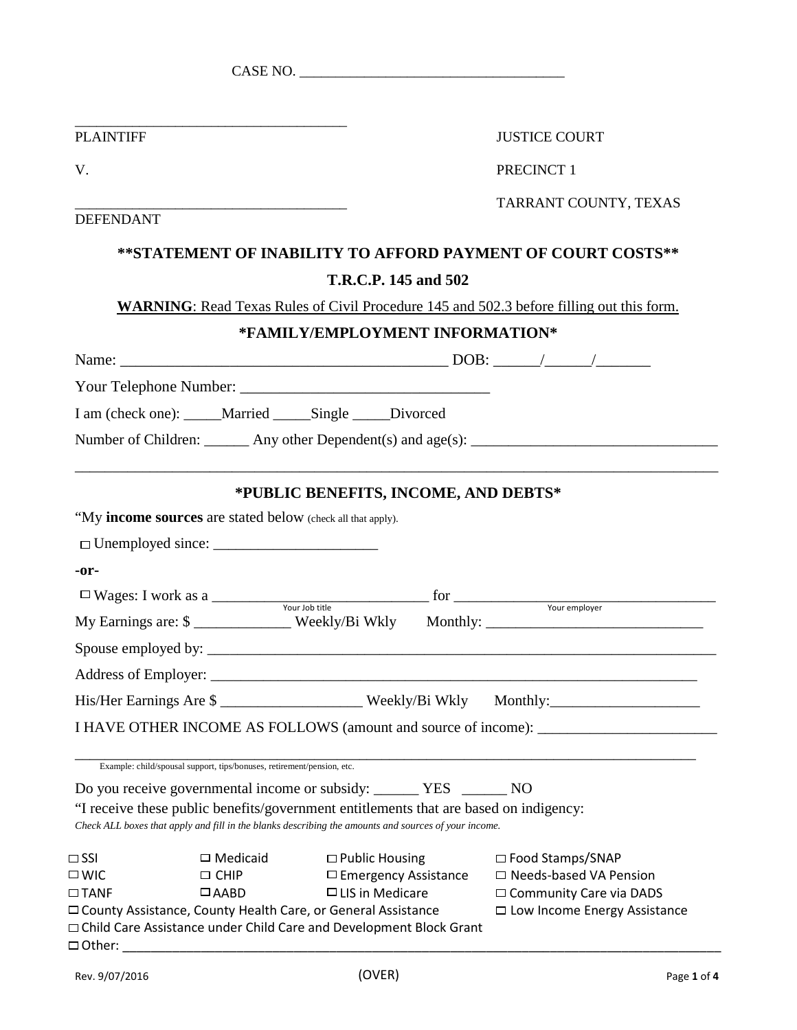|                  |                                                                                                                                                              | CASE NO.                             |                                                                                                                                                                                                        |
|------------------|--------------------------------------------------------------------------------------------------------------------------------------------------------------|--------------------------------------|--------------------------------------------------------------------------------------------------------------------------------------------------------------------------------------------------------|
|                  |                                                                                                                                                              |                                      |                                                                                                                                                                                                        |
| <b>PLAINTIFF</b> |                                                                                                                                                              |                                      | <b>JUSTICE COURT</b>                                                                                                                                                                                   |
| V.               |                                                                                                                                                              |                                      | PRECINCT 1                                                                                                                                                                                             |
|                  |                                                                                                                                                              |                                      | TARRANT COUNTY, TEXAS                                                                                                                                                                                  |
| <b>DEFENDANT</b> |                                                                                                                                                              |                                      |                                                                                                                                                                                                        |
|                  |                                                                                                                                                              |                                      | **STATEMENT OF INABILITY TO AFFORD PAYMENT OF COURT COSTS**                                                                                                                                            |
|                  |                                                                                                                                                              | T.R.C.P. 145 and 502                 |                                                                                                                                                                                                        |
|                  |                                                                                                                                                              |                                      | <b>WARNING:</b> Read Texas Rules of Civil Procedure 145 and 502.3 before filling out this form.                                                                                                        |
|                  |                                                                                                                                                              | *FAMILY/EMPLOYMENT INFORMATION*      |                                                                                                                                                                                                        |
|                  |                                                                                                                                                              |                                      |                                                                                                                                                                                                        |
|                  |                                                                                                                                                              |                                      |                                                                                                                                                                                                        |
|                  | I am (check one): _____Married _____Single _____Divorced                                                                                                     |                                      |                                                                                                                                                                                                        |
|                  |                                                                                                                                                              |                                      |                                                                                                                                                                                                        |
|                  |                                                                                                                                                              |                                      |                                                                                                                                                                                                        |
|                  | "My income sources are stated below (check all that apply).                                                                                                  | *PUBLIC BENEFITS, INCOME, AND DEBTS* |                                                                                                                                                                                                        |
| -or-             |                                                                                                                                                              |                                      |                                                                                                                                                                                                        |
|                  |                                                                                                                                                              |                                      |                                                                                                                                                                                                        |
|                  |                                                                                                                                                              |                                      | $\Box$ Wages: I work as a $\frac{1}{\Box}$ Your Job title for $\frac{1}{\Box}$ for $\frac{1}{\Box}$ Your employer<br>My Earnings are: \$ _____________ Weekly/Bi Wkly Monthly: _______________________ |
|                  |                                                                                                                                                              |                                      |                                                                                                                                                                                                        |
|                  |                                                                                                                                                              |                                      |                                                                                                                                                                                                        |
|                  |                                                                                                                                                              |                                      | His/Her Earnings Are \$                                                                                                                                                                                |
|                  |                                                                                                                                                              |                                      | I HAVE OTHER INCOME AS FOLLOWS (amount and source of income): ___________________                                                                                                                      |
|                  |                                                                                                                                                              |                                      |                                                                                                                                                                                                        |
|                  | Example: child/spousal support, tips/bonuses, retirement/pension, etc.                                                                                       |                                      |                                                                                                                                                                                                        |
|                  | Do you receive governmental income or subsidy: ______ YES ______ NO<br>"I receive these public benefits/government entitlements that are based on indigency: |                                      |                                                                                                                                                                                                        |
|                  | Check ALL boxes that apply and fill in the blanks describing the amounts and sources of your income.                                                         |                                      |                                                                                                                                                                                                        |
| $\Box$ SSI       | $\Box$ Medicaid                                                                                                                                              | $\Box$ Public Housing                | $\Box$ Food Stamps/SNAP                                                                                                                                                                                |
| $\square$ WIC    | $\Box$ CHIP                                                                                                                                                  | $\Box$ Emergency Assistance          | $\Box$ Needs-based VA Pension                                                                                                                                                                          |
| $\Box$ TANF      | $\Box$ AABD                                                                                                                                                  | $\Box$ LIS in Medicare               | □ Community Care via DADS                                                                                                                                                                              |
|                  | □ County Assistance, County Health Care, or General Assistance<br>□ Child Care Assistance under Child Care and Development Block Grant                       |                                      | □ Low Income Energy Assistance                                                                                                                                                                         |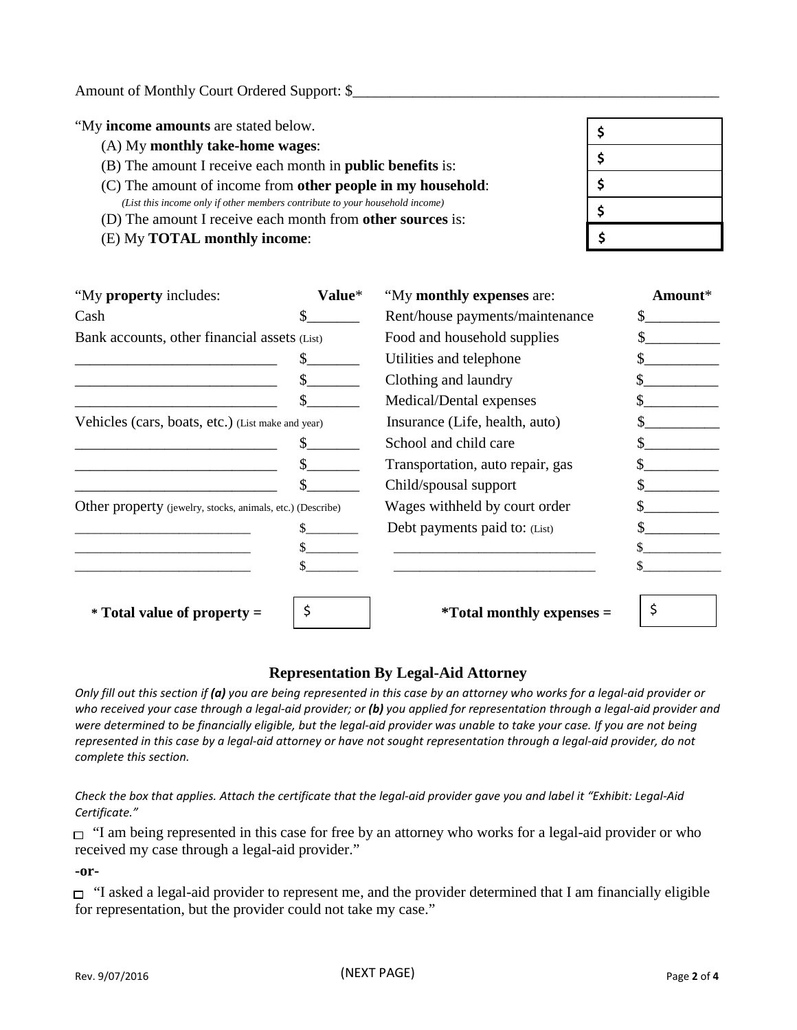| "My income amounts are stated below.                                                                                                              |  |
|---------------------------------------------------------------------------------------------------------------------------------------------------|--|
| (A) My monthly take-home wages:                                                                                                                   |  |
| (B) The amount I receive each month in <b>public benefits</b> is:                                                                                 |  |
| (C) The amount of income from other people in my household:                                                                                       |  |
| (List this income only if other members contribute to your household income)<br>(D) The amount I receive each month from <b>other sources</b> is: |  |
| (E) My <b>TOTAL</b> monthly income:                                                                                                               |  |

| "My property includes:                                     | Value* | "My monthly expenses are:           | Amount* |
|------------------------------------------------------------|--------|-------------------------------------|---------|
| Cash                                                       |        | Rent/house payments/maintenance     |         |
| Bank accounts, other financial assets (List)               |        | Food and household supplies         |         |
|                                                            |        | Utilities and telephone             |         |
|                                                            |        | Clothing and laundry                |         |
|                                                            |        | Medical/Dental expenses             |         |
| Vehicles (cars, boats, etc.) (List make and year)          |        | Insurance (Life, health, auto)      |         |
|                                                            |        | School and child care               |         |
|                                                            |        | Transportation, auto repair, gas    |         |
|                                                            |        | Child/spousal support               |         |
| Other property (jewelry, stocks, animals, etc.) (Describe) |        | Wages withheld by court order       |         |
|                                                            |        | Debt payments paid to: (List)       |         |
|                                                            |        |                                     |         |
|                                                            |        |                                     |         |
|                                                            |        |                                     |         |
| $*$ Total value of property $=$                            |        | <i>*</i> Total monthly expenses $=$ |         |

## **Representation By Legal-Aid Attorney**

*Only fill out this section if (a) you are being represented in this case by an attorney who works for a legal-aid provider or who received your case through a legal-aid provider; or (b) you applied for representation through a legal-aid provider and were determined to be financially eligible, but the legal-aid provider was unable to take your case. If you are not being represented in this case by a legal-aid attorney or have not sought representation through a legal-aid provider, do not complete this section.*

#### *Check the box that applies. Attach the certificate that the legal-aid provider gave you and label it "Exhibit: Legal-Aid Certificate."*

 $\Box$  "I am being represented in this case for free by an attorney who works for a legal-aid provider or who received my case through a legal-aid provider."

**-or-**

 $\Box$  "I asked a legal-aid provider to represent me, and the provider determined that I am financially eligible for representation, but the provider could not take my case."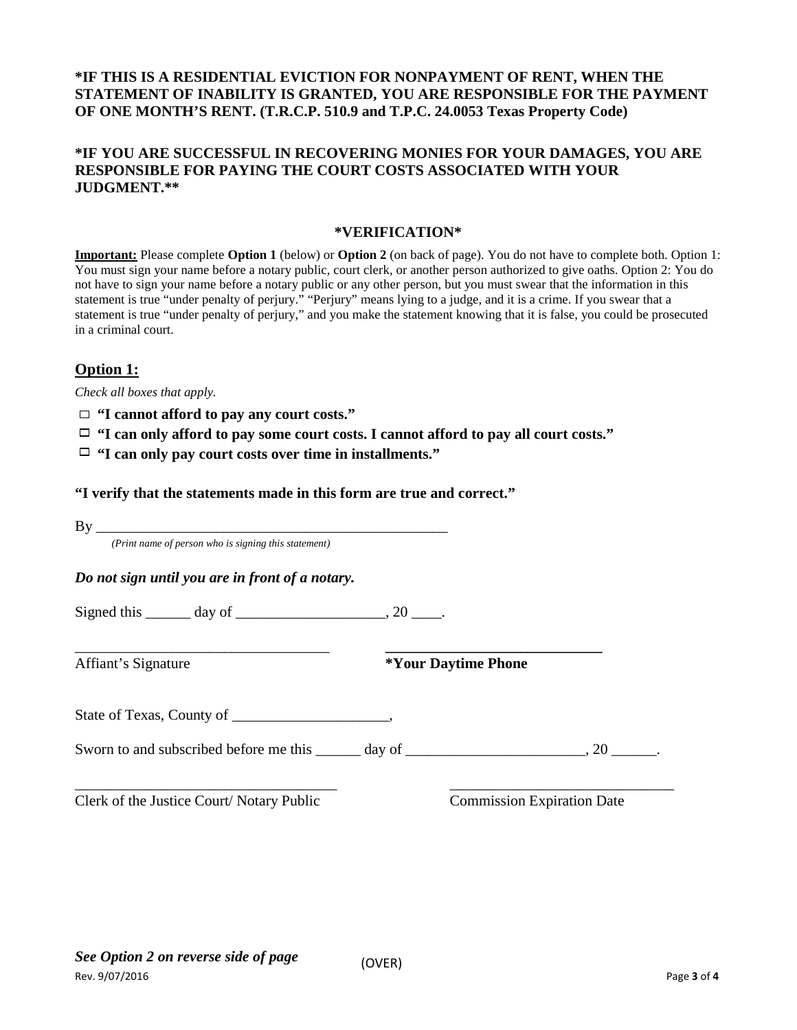## **\*IF THIS IS A RESIDENTIAL EVICTION FOR NONPAYMENT OF RENT, WHEN THE STATEMENT OF INABILITY IS GRANTED, YOU ARE RESPONSIBLE FOR THE PAYMENT OF ONE MONTH'S RENT. (T.R.C.P. 510.9 and T.P.C. 24.0053 Texas Property Code)**

## **\*IF YOU ARE SUCCESSFUL IN RECOVERING MONIES FOR YOUR DAMAGES, YOU ARE RESPONSIBLE FOR PAYING THE COURT COSTS ASSOCIATED WITH YOUR JUDGMENT.\*\***

### **\*VERIFICATION\***

**Important:** Please complete **Option 1** (below) or **Option 2** (on back of page). You do not have to complete both. Option 1: You must sign your name before a notary public, court clerk, or another person authorized to give oaths. Option 2: You do not have to sign your name before a notary public or any other person, but you must swear that the information in this statement is true "under penalty of perjury." "Perjury" means lying to a judge, and it is a crime. If you swear that a statement is true "under penalty of perjury," and you make the statement knowing that it is false, you could be prosecuted in a criminal court.

# **Option 1:**

*Check all boxes that apply.*

- **"I cannot afford to pay any court costs."**
- **"I can only afford to pay some court costs. I cannot afford to pay all court costs."**
- **"I can only pay court costs over time in installments."**

**"I verify that the statements made in this form are true and correct."**

By \_\_\_\_\_\_\_\_\_\_\_\_\_\_\_\_\_\_\_\_\_\_\_\_\_\_\_\_\_\_\_\_\_\_\_\_\_\_\_\_\_\_\_\_\_\_\_

*(Print name of person who is signing this statement)*

*Do not sign until you are in front of a notary.*

Signed this  $\qquad \qquad \text{day of} \qquad \qquad .20$ 

|  | Affiant's Signature |
|--|---------------------|
|--|---------------------|

\_\_\_\_\_\_\_\_\_\_\_\_\_\_\_\_\_\_\_\_\_\_\_\_\_\_\_\_\_\_\_\_\_\_ **\_\_\_\_\_\_\_\_\_\_\_\_\_\_\_\_\_\_\_\_\_\_\_\_\_\_\_\_\_** Affiant's Signature **\*Your Daytime Phone**

State of Texas, County of \_\_\_\_\_\_\_\_\_\_\_\_\_\_\_\_\_\_\_\_\_,

Sworn to and subscribed before me this \_\_\_\_\_ day of \_\_\_\_\_\_\_\_\_\_\_\_\_\_\_\_\_\_\_, 20 \_\_\_\_\_.

\_\_\_\_\_\_\_\_\_\_\_\_\_\_\_\_\_\_\_\_\_\_\_\_\_\_\_\_\_\_\_\_\_\_\_ \_\_\_\_\_\_\_\_\_\_\_\_\_\_\_\_\_\_\_\_\_\_\_\_\_\_\_\_\_\_ Clerk of the Justice Court/ Notary Public Commission Expiration Date